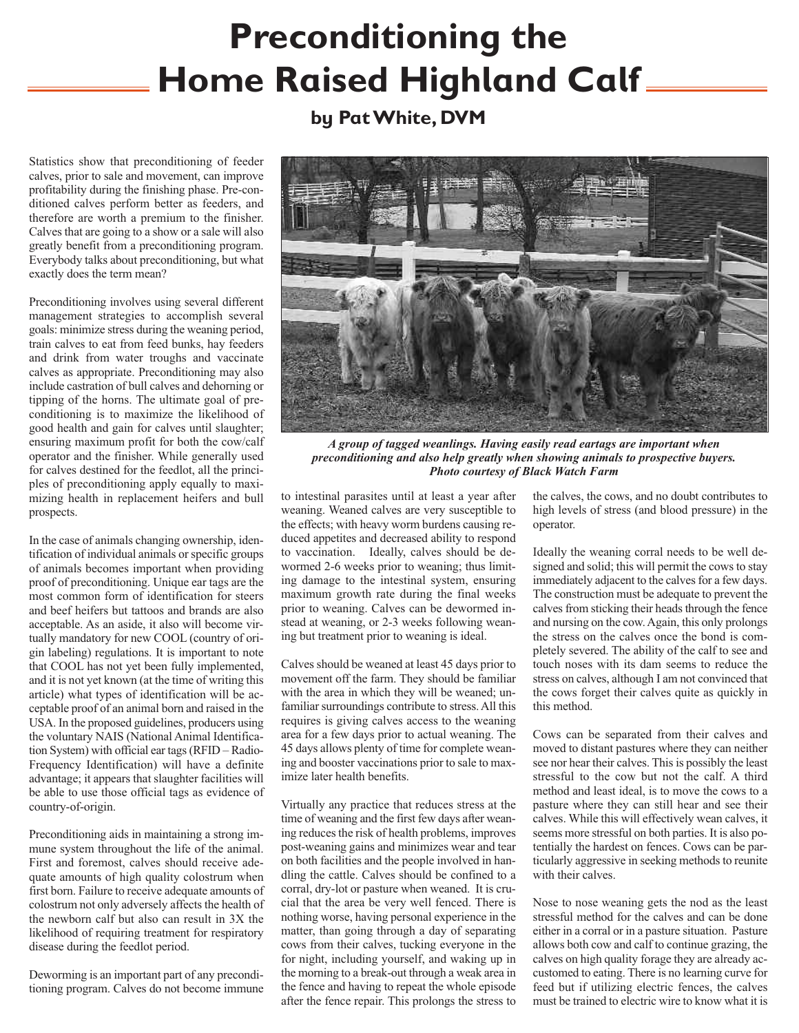## **Preconditioning the Home Raised Highland Calf**

## **by PatWhite, DVM**

Statistics show that preconditioning of feeder calves, prior to sale and movement, can improve profitability during the finishing phase. Pre-conditioned calves perform better as feeders, and therefore are worth a premium to the finisher. Calves that are going to a show or a sale will also greatly benefit from a preconditioning program. Everybody talks about preconditioning, but what exactly does the term mean?

Preconditioning involves using several different management strategies to accomplish several goals: minimize stress during the weaning period, train calves to eat from feed bunks, hay feeders and drink from water troughs and vaccinate calves as appropriate. Preconditioning may also include castration of bull calves and dehorning or tipping of the horns. The ultimate goal of preconditioning is to maximize the likelihood of good health and gain for calves until slaughter; ensuring maximum profit for both the cow/calf operator and the finisher. While generally used for calves destined for the feedlot, all the principles of preconditioning apply equally to maximizing health in replacement heifers and bull prospects.

In the case of animals changing ownership, identification of individual animals or specific groups of animals becomes important when providing proof of preconditioning. Unique ear tags are the most common form of identification for steers and beef heifers but tattoos and brands are also acceptable. As an aside, it also will become virtually mandatory for new COOL (country of origin labeling) regulations. It is important to note that COOL has not yet been fully implemented, and it is not yet known (at the time of writing this article) what types of identification will be acceptable proof of an animal born and raised in the USA. In the proposed guidelines, producers using the voluntary NAIS (National Animal Identification System) with official ear tags(RFID – Radio-Frequency Identification) will have a definite advantage; it appears that slaughter facilities will be able to use those official tags as evidence of country-of-origin.

Preconditioning aids in maintaining a strong immune system throughout the life of the animal. First and foremost, calves should receive adequate amounts of high quality colostrum when first born. Failure to receive adequate amounts of colostrum not only adversely affects the health of the newborn calf but also can result in 3X the likelihood of requiring treatment for respiratory disease during the feedlot period.

Deworming is an important part of any preconditioning program. Calves do not become immune



*A group of tagged weanlings. Having easily read eartags are important when preconditioning and also help greatly when showing animals to prospective buyers. Photo courtesy of Black Watch Farm*

to intestinal parasites until at least a year after weaning. Weaned calves are very susceptible to the effects; with heavy worm burdens causing reduced appetites and decreased ability to respond to vaccination. Ideally, calves should be dewormed 2-6 weeks prior to weaning; thus limiting damage to the intestinal system, ensuring maximum growth rate during the final weeks prior to weaning. Calves can be dewormed instead at weaning, or 2-3 weeks following weaning but treatment prior to weaning is ideal.

Calves should be weaned at least 45 days prior to movement off the farm. They should be familiar with the area in which they will be weaned; unfamiliar surroundings contribute to stress. All this requires is giving calves access to the weaning area for a few days prior to actual weaning. The 45 days allows plenty of time for complete weaning and booster vaccinations prior to sale to maximize later health benefits.

Virtually any practice that reduces stress at the time of weaning and the first few days after weaning reduces the risk of health problems, improves post-weaning gains and minimizes wear and tear on both facilities and the people involved in handling the cattle. Calves should be confined to a corral, dry-lot or pasture when weaned. It is crucial that the area be very well fenced. There is nothing worse, having personal experience in the matter, than going through a day of separating cows from their calves, tucking everyone in the for night, including yourself, and waking up in the morning to a break-out through a weak area in the fence and having to repeat the whole episode after the fence repair. This prolongs the stress to

the calves, the cows, and no doubt contributes to high levels of stress (and blood pressure) in the operator.

Ideally the weaning corral needs to be well designed and solid; this will permit the cows to stay immediately adjacent to the calves for a few days. The construction must be adequate to prevent the calves from sticking their heads through the fence and nursing on the cow.Again, this only prolongs the stress on the calves once the bond is completely severed. The ability of the calf to see and touch noses with its dam seems to reduce the stress on calves, although I am not convinced that the cows forget their calves quite as quickly in this method.

Cows can be separated from their calves and moved to distant pastures where they can neither see nor hear their calves. This is possibly the least stressful to the cow but not the calf. A third method and least ideal, is to move the cows to a pasture where they can still hear and see their calves. While this will effectively wean calves, it seems more stressful on both parties. It is also potentially the hardest on fences. Cows can be particularly aggressive in seeking methods to reunite with their calves.

Nose to nose weaning gets the nod as the least stressful method for the calves and can be done either in a corral or in a pasture situation. Pasture allows both cow and calf to continue grazing, the calves on high quality forage they are already accustomed to eating. There is no learning curve for feed but if utilizing electric fences, the calves must be trained to electric wire to know what it is